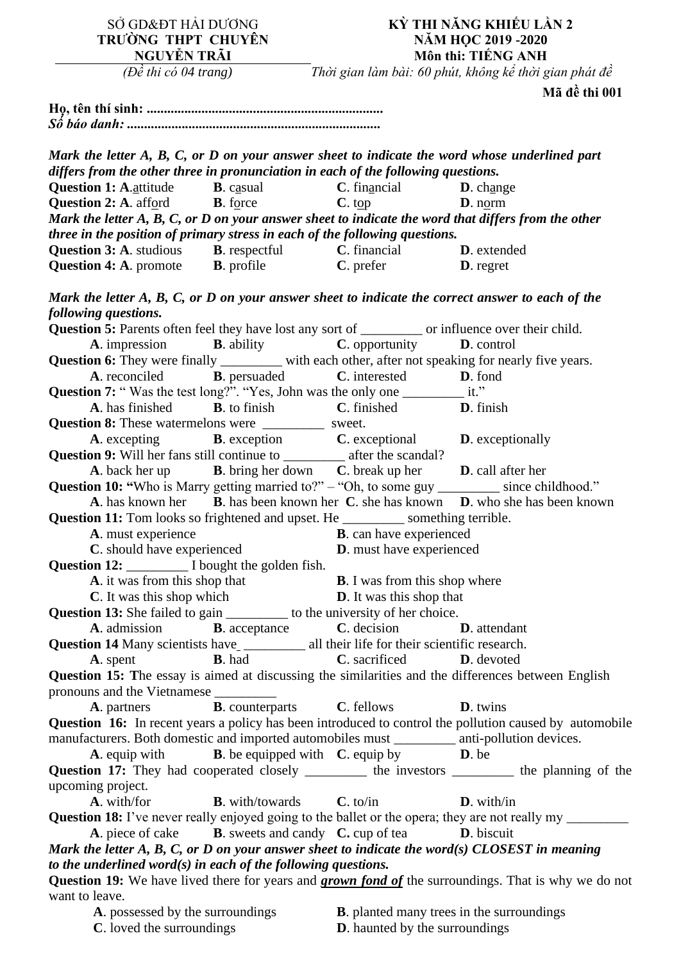| SỞ GD&ĐT HẢI DƯƠNG<br>TRƯỜNG THPT CHUYÊN<br>NGUYỄN TRÃI                                                                                                                      |                                          | KỪ THI NĂNG KHIẾU LẦN 2<br>NĂM HỌC 2019 - 2020<br>Môn thi: TIẾNG ANH                    |                                                                                                                 |  |
|------------------------------------------------------------------------------------------------------------------------------------------------------------------------------|------------------------------------------|-----------------------------------------------------------------------------------------|-----------------------------------------------------------------------------------------------------------------|--|
| ( $D\hat{e}$ thi có 04 trang)                                                                                                                                                |                                          |                                                                                         | Thời gian làm bài: 60 phút, không kể thời gian phát đề                                                          |  |
|                                                                                                                                                                              |                                          |                                                                                         | Mã đề thi 001                                                                                                   |  |
|                                                                                                                                                                              |                                          |                                                                                         |                                                                                                                 |  |
|                                                                                                                                                                              |                                          |                                                                                         |                                                                                                                 |  |
|                                                                                                                                                                              |                                          |                                                                                         |                                                                                                                 |  |
|                                                                                                                                                                              |                                          |                                                                                         | Mark the letter A, B, C, or D on your answer sheet to indicate the word whose underlined part                   |  |
| differs from the other three in pronunciation in each of the following questions.                                                                                            |                                          |                                                                                         |                                                                                                                 |  |
| <b>Question 1: A.</b> attitude                                                                                                                                               | B. casual                                | $C.$ financial                                                                          | D. change                                                                                                       |  |
| <b>Question 2:</b> A. afford <b>B.</b> force                                                                                                                                 |                                          | $C.$ top                                                                                | D. norm                                                                                                         |  |
|                                                                                                                                                                              |                                          |                                                                                         | Mark the letter $A, B, C, or D$ on your answer sheet to indicate the word that differs from the other           |  |
| three in the position of primary stress in each of the following questions.                                                                                                  |                                          |                                                                                         |                                                                                                                 |  |
| <b>Question 3: A.</b> studious <b>B.</b> respectful <b>C.</b> financial <b>D.</b> extended                                                                                   |                                          |                                                                                         |                                                                                                                 |  |
| <b>Question 4: A.</b> promote <b>B.</b> profile <b>C.</b> prefer <b>D.</b> regret                                                                                            |                                          |                                                                                         |                                                                                                                 |  |
| following questions.                                                                                                                                                         |                                          |                                                                                         | Mark the letter $A, B, C, or D$ on your answer sheet to indicate the correct answer to each of the              |  |
| Question 5: Parents often feel they have lost any sort of _________ or influence over their child.                                                                           |                                          |                                                                                         |                                                                                                                 |  |
|                                                                                                                                                                              |                                          | <b>A.</b> impression <b>B.</b> ability <b>C.</b> opportunity <b>D.</b> control          |                                                                                                                 |  |
|                                                                                                                                                                              |                                          |                                                                                         | Question 6: They were finally ________ with each other, after not speaking for nearly five years.               |  |
| <b>A</b> . reconciled <b>B</b> . persuaded                                                                                                                                   |                                          | <b>C</b> . interested <b>D</b> . fond                                                   |                                                                                                                 |  |
| Question 7: "Was the test long?". "Yes, John was the only one ____________ it."                                                                                              |                                          |                                                                                         |                                                                                                                 |  |
| A. has finished                                                                                                                                                              |                                          | <b>B</b> . to finish <b>C</b> . finished <b>D</b> . finish                              |                                                                                                                 |  |
| <b>Question 8:</b> These watermelons were ____________ sweet.                                                                                                                |                                          |                                                                                         |                                                                                                                 |  |
|                                                                                                                                                                              |                                          | <b>A.</b> excepting <b>B.</b> exception <b>C.</b> exceptional <b>D.</b> exceptionally   |                                                                                                                 |  |
| <b>Question 9:</b> Will her fans still continue to ______________ after the scandal?                                                                                         |                                          |                                                                                         |                                                                                                                 |  |
|                                                                                                                                                                              |                                          | A. back her up <b>B.</b> bring her down <b>C.</b> break up her <b>D.</b> call after her |                                                                                                                 |  |
|                                                                                                                                                                              |                                          |                                                                                         | Question 10: "Who is Marry getting married to?" - "Oh, to some guy ________ since childhood."                   |  |
|                                                                                                                                                                              |                                          |                                                                                         | A. has known her B. has been known her C. she has known D. who she has been known                               |  |
| Question 11: Tom looks so frightened and upset. He __________ something terrible.                                                                                            |                                          |                                                                                         |                                                                                                                 |  |
| A. must experience                                                                                                                                                           |                                          | <b>B</b> . can have experienced                                                         |                                                                                                                 |  |
| C. should have experienced                                                                                                                                                   |                                          | <b>D</b> . must have experienced                                                        |                                                                                                                 |  |
| Question 12: I bought the golden fish.                                                                                                                                       |                                          |                                                                                         |                                                                                                                 |  |
| A. it was from this shop that                                                                                                                                                |                                          | <b>B</b> . I was from this shop where                                                   |                                                                                                                 |  |
| <b>C</b> . It was this shop which                                                                                                                                            |                                          | <b>D</b> . It was this shop that                                                        |                                                                                                                 |  |
| <b>Question 13:</b> She failed to gain __________ to the university of her choice.                                                                                           |                                          |                                                                                         |                                                                                                                 |  |
|                                                                                                                                                                              |                                          | <b>A.</b> admission <b>B.</b> acceptance <b>C.</b> decision <b>D.</b> attendant         |                                                                                                                 |  |
| Question 14 Many scientists have ____________ all their life for their scientific research.                                                                                  |                                          |                                                                                         |                                                                                                                 |  |
| A. spent                                                                                                                                                                     | <b>B</b> . had                           | <b>C</b> . sacrificed <b>D</b> . devoted                                                |                                                                                                                 |  |
|                                                                                                                                                                              |                                          |                                                                                         | Question 15: The essay is aimed at discussing the similarities and the differences between English              |  |
| pronouns and the Vietnamese                                                                                                                                                  |                                          |                                                                                         |                                                                                                                 |  |
| <b>A.</b> partners <b>B.</b> counterparts <b>C.</b> fellows                                                                                                                  |                                          |                                                                                         | <b>D</b> . twins                                                                                                |  |
|                                                                                                                                                                              |                                          |                                                                                         | <b>Question 16:</b> In recent years a policy has been introduced to control the pollution caused by automobile  |  |
| manufacturers. Both domestic and imported automobiles must _________ anti-pollution devices.                                                                                 |                                          |                                                                                         |                                                                                                                 |  |
|                                                                                                                                                                              |                                          | <b>A.</b> equip with <b>B.</b> be equipped with <b>C.</b> equip by <b>D.</b> be         |                                                                                                                 |  |
|                                                                                                                                                                              |                                          |                                                                                         | Question 17: They had cooperated closely ________ the investors _______ the planning of the                     |  |
| upcoming project.                                                                                                                                                            |                                          |                                                                                         |                                                                                                                 |  |
| A. with/for                                                                                                                                                                  | <b>B</b> . with/towards <b>C</b> . to/in |                                                                                         | $\mathbf{D}$ . with/in                                                                                          |  |
|                                                                                                                                                                              |                                          |                                                                                         | <b>Question 18:</b> I've never really enjoyed going to the ballet or the opera; they are not really my ________ |  |
|                                                                                                                                                                              |                                          | A. piece of cake <b>B.</b> sweets and candy <b>C.</b> cup of tea <b>D.</b> biscuit      |                                                                                                                 |  |
|                                                                                                                                                                              |                                          |                                                                                         |                                                                                                                 |  |
| Mark the letter $A$ , $B$ , $C$ , or $D$ on your answer sheet to indicate the word(s) CLOSEST in meaning<br>to the underlined word $(s)$ in each of the following questions. |                                          |                                                                                         |                                                                                                                 |  |
|                                                                                                                                                                              |                                          |                                                                                         |                                                                                                                 |  |
| want to leave.                                                                                                                                                               |                                          |                                                                                         | Question 19: We have lived there for years and <b>grown fond of</b> the surroundings. That is why we do not     |  |
|                                                                                                                                                                              | <b>A</b> . possessed by the surroundings |                                                                                         | <b>B</b> . planted many trees in the surroundings                                                               |  |
|                                                                                                                                                                              |                                          |                                                                                         |                                                                                                                 |  |

**C**. loved the surroundings **D**. haunted by the surroundings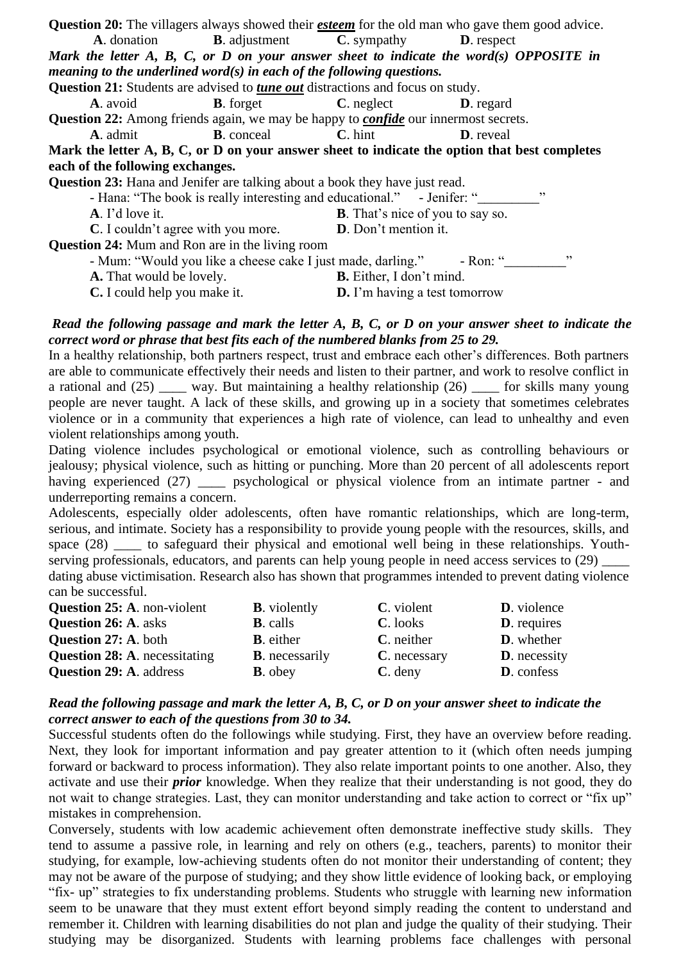| <b>Question 20:</b> The villagers always showed their <b><i>esteem</i></b> for the old man who gave them good advice. |                    |                                                                              |                   |  |  |  |
|-----------------------------------------------------------------------------------------------------------------------|--------------------|------------------------------------------------------------------------------|-------------------|--|--|--|
|                                                                                                                       |                    | <b>A.</b> donation <b>B.</b> adjustment <b>C.</b> sympathy <b>D.</b> respect |                   |  |  |  |
| Mark the letter $A$ , $B$ , $C$ , or $D$ on your answer sheet to indicate the word(s) OPPOSITE in                     |                    |                                                                              |                   |  |  |  |
| meaning to the underlined word $(s)$ in each of the following questions.                                              |                    |                                                                              |                   |  |  |  |
| <b>Question 21:</b> Students are advised to <i>tune out</i> distractions and focus on study.                          |                    |                                                                              |                   |  |  |  |
| <b>A.</b> avoid                                                                                                       | <b>B</b> . forget  | $C.$ neglect                                                                 | <b>D</b> . regard |  |  |  |
| <b>Question 22:</b> Among friends again, we may be happy to <i>confide</i> our innermost secrets.                     |                    |                                                                              |                   |  |  |  |
| <b>A.</b> admit                                                                                                       | <b>B</b> . conceal | $C.$ hint                                                                    | <b>D</b> . reveal |  |  |  |
| Mark the letter A, B, C, or D on your answer sheet to indicate the option that best completes                         |                    |                                                                              |                   |  |  |  |
| each of the following exchanges.                                                                                      |                    |                                                                              |                   |  |  |  |
| <b>Question 23:</b> Hana and Jenifer are talking about a book they have just read.                                    |                    |                                                                              |                   |  |  |  |
| , ,<br>- Hana: "The book is really interesting and educational." - Jenifer: "                                         |                    |                                                                              |                   |  |  |  |
| A. I'd love it.                                                                                                       |                    | <b>B</b> . That's nice of you to say so.                                     |                   |  |  |  |
| <b>C</b> . I couldn't agree with you more.                                                                            |                    | D. Don't mention it.                                                         |                   |  |  |  |
| <b>Question 24:</b> Mum and Ron are in the living room                                                                |                    |                                                                              |                   |  |  |  |
| , ,<br>- Mum: "Would you like a cheese cake I just made, darling." - Ron: "                                           |                    |                                                                              |                   |  |  |  |
| A. That would be lovely.                                                                                              |                    | <b>B.</b> Either, I don't mind.                                              |                   |  |  |  |
| C. I could help you make it.                                                                                          |                    | <b>D.</b> I'm having a test tomorrow                                         |                   |  |  |  |

#### *Read the following passage and mark the letter A, B, C, or D on your answer sheet to indicate the correct word or phrase that best fits each of the numbered blanks from 25 to 29.*

In a healthy relationship, both partners respect, trust and embrace each other's differences. Both partners are able to communicate effectively their needs and listen to their partner, and work to resolve conflict in a rational and (25) \_\_\_\_ way. But maintaining a healthy relationship (26) \_\_\_\_ for skills many young people are never taught. A lack of these skills, and growing up in a society that sometimes celebrates violence or in a community that experiences a high rate of violence, can lead to unhealthy and even violent relationships among youth.

Dating violence includes psychological or emotional violence, such as controlling behaviours or jealousy; physical violence, such as hitting or punching. More than 20 percent of all adolescents report having experienced (27) \_\_\_\_\_ psychological or physical violence from an intimate partner - and underreporting remains a concern.

Adolescents, especially older adolescents, often have romantic relationships, which are long-term, serious, and intimate. Society has a responsibility to provide young people with the resources, skills, and space (28) \_\_\_\_\_ to safeguard their physical and emotional well being in these relationships. Youthserving professionals, educators, and parents can help young people in need access services to (29) dating abuse victimisation. Research also has shown that programmes intended to prevent dating violence can be successful.

| <b>Question 25: A. non-violent</b>   | <b>B</b> . violently   | C. violent   | <b>D</b> . violence  |
|--------------------------------------|------------------------|--------------|----------------------|
| <b>Question 26: A. asks</b>          | <b>B</b> . calls       | C. looks     | <b>D</b> . requires  |
| <b>Question 27: A. both</b>          | <b>B</b> . either      | C. neither   | <b>D</b> . whether   |
| <b>Question 28: A. necessitating</b> | <b>B</b> . necessarily | C. necessary | <b>D</b> . necessity |
| <b>Question 29: A. address</b>       | <b>B</b> . obey        | $C.$ deny    | <b>D</b> . confess   |

## *Read the following passage and mark the letter A, B, C, or D on your answer sheet to indicate the correct answer to each of the questions from 30 to 34.*

Successful students often do the followings while studying. First, they have an overview before reading. Next, they look for important information and pay greater attention to it (which often needs jumping forward or backward to process information). They also relate important points to one another. Also, they activate and use their *prior* knowledge. When they realize that their understanding is not good, they do not wait to change strategies. Last, they can monitor understanding and take action to correct or "fix up" mistakes in comprehension.

Conversely, students with low academic achievement often demonstrate ineffective study skills. They tend to assume a passive role, in learning and rely on others (e.g., teachers, parents) to monitor their studying, for example, low-achieving students often do not monitor their understanding of content; they may not be aware of the purpose of studying; and they show little evidence of looking back, or employing "fix- up" strategies to fix understanding problems. Students who struggle with learning new information seem to be unaware that they must extent effort beyond simply reading the content to understand and remember it. Children with learning disabilities do not plan and judge the quality of their studying. Their studying may be disorganized. Students with learning problems face challenges with personal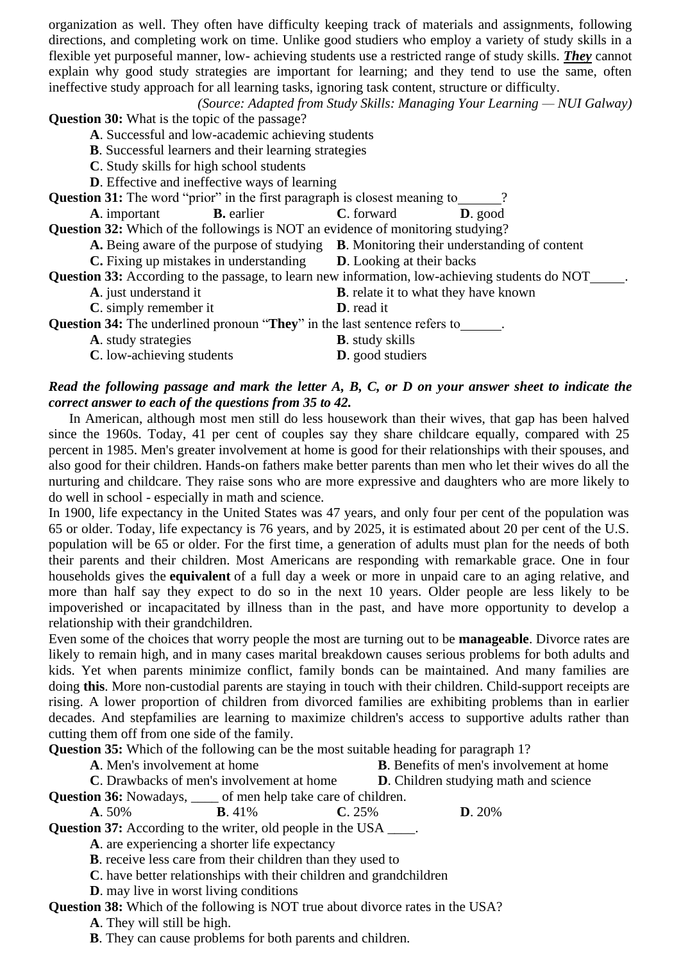organization as well. They often have difficulty keeping track of materials and assignments, following directions, and completing work on time. Unlike good studiers who employ a variety of study skills in a flexible yet purposeful manner, low- achieving students use a restricted range of study skills. *They* cannot explain why good study strategies are important for learning; and they tend to use the same, often ineffective study approach for all learning tasks, ignoring task content, structure or difficulty.

*(Source: Adapted from Study Skills: Managing Your Learning — NUI Galway)*

**Question 30:** What is the topic of the passage?

**A**. Successful and low-academic achieving students

**B**. Successful learners and their learning strategies

**C**. Study skills for high school students

**D**. Effective and ineffective ways of learning

**Question 31:** The word "prior" in the first paragraph is closest meaning to \_\_\_\_\_?

**A**. important **B.** earlier **C**. forward **D**. good

**Question 32:** Which of the followings is NOT an evidence of monitoring studying?

**A.** Being aware of the purpose of studying **B**. Monitoring their understanding of content

**C.** Fixing up mistakes in understanding **D**. Looking at their backs

**Question 33:** According to the passage, to learn new information, low-achieving students do NOT .

- **A**. just understand it **B**. relate it to what they have known
	- **C**. simply remember it **D**. read it

**Question 34:** The underlined pronoun "They" in the last sentence refers to \_\_\_\_\_\_.

**A**. study strategies **B**. study skills

**C**. low-achieving students **D**. good studiers

# *Read the following passage and mark the letter A, B, C, or D on your answer sheet to indicate the correct answer to each of the questions from 35 to 42.*

 In American, although most men still do less housework than their wives, that gap has been halved since the 1960s. Today, 41 per cent of couples say they share childcare equally, compared with 25 percent in 1985. Men's greater involvement at home is good for their relationships with their spouses, and also good for their children. Hands-on fathers make better parents than men who let their wives do all the nurturing and childcare. They raise sons who are more expressive and daughters who are more likely to do well in school - especially in math and science.

In 1900, life expectancy in the United States was 47 years, and only four per cent of the population was 65 or older. Today, life expectancy is 76 years, and by 2025, it is estimated about 20 per cent of the U.S. population will be 65 or older. For the first time, a generation of adults must plan for the needs of both their parents and their children. Most Americans are responding with remarkable grace. One in four households gives the **equivalent** of a full day a week or more in unpaid care to an aging relative, and more than half say they expect to do so in the next 10 years. Older people are less likely to be impoverished or incapacitated by illness than in the past, and have more opportunity to develop a relationship with their grandchildren.

Even some of the choices that worry people the most are turning out to be **manageable**. Divorce rates are likely to remain high, and in many cases marital breakdown causes serious problems for both adults and kids. Yet when parents minimize conflict, family bonds can be maintained. And many families are doing **this**. More non-custodial parents are staying in touch with their children. Child-support receipts are rising. A lower proportion of children from divorced families are exhibiting problems than in earlier decades. And stepfamilies are learning to maximize children's access to supportive adults rather than cutting them off from one side of the family.

**Question 35:** Which of the following can be the most suitable heading for paragraph 1?

**A**. Men's involvement at home **B**. Benefits of men's involvement at home

**C**. Drawbacks of men's involvement at home **D**. Children studying math and science **Question 36:** Nowadays, \_\_\_\_ of men help take care of children.

**A**. 50% **B**. 41% **C**. 25% **D**. 20%

**Question 37:** According to the writer, old people in the USA \_\_\_\_.

**A**. are experiencing a shorter life expectancy

**B**. receive less care from their children than they used to

**C**. have better relationships with their children and grandchildren

**D**. may live in worst living conditions

**Question 38:** Which of the following is NOT true about divorce rates in the USA?

**A**. They will still be high.

**B**. They can cause problems for both parents and children.